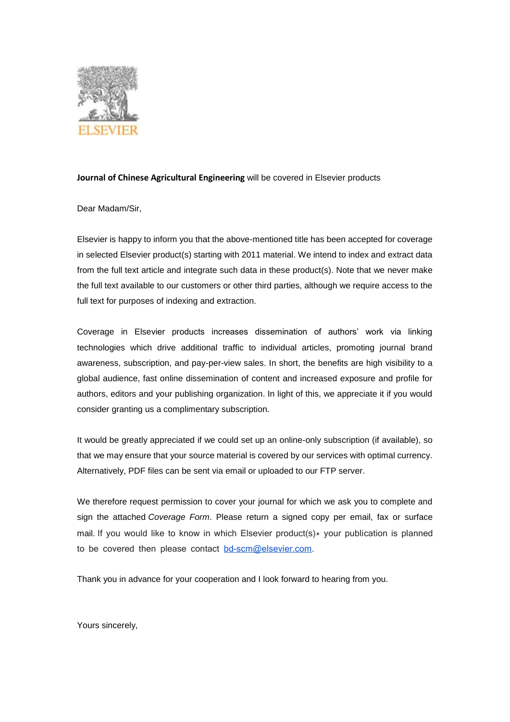

## **Journal of Chinese Agricultural Engineering** will be covered in Elsevier products

Dear Madam/Sir,

Elsevier is happy to inform you that the above-mentioned title has been accepted for coverage in selected Elsevier product(s) starting with 2011 material. We intend to index and extract data from the full text article and integrate such data in these product(s). Note that we never make the full text available to our customers or other third parties, although we require access to the full text for purposes of indexing and extraction.

Coverage in Elsevier products increases dissemination of authors' work via linking technologies which drive additional traffic to individual articles, promoting journal brand awareness, subscription, and pay-per-view sales. In short, the benefits are high visibility to a global audience, fast online dissemination of content and increased exposure and profile for authors, editors and your publishing organization. In light of this, we appreciate it if you would consider granting us a complimentary subscription.

It would be greatly appreciated if we could set up an online-only subscription (if available), so that we may ensure that your source material is covered by our services with optimal currency. Alternatively, PDF files can be sent via email or uploaded to our FTP server.

We therefore request permission to cover your journal for which we ask you to complete and sign the attached *Coverage Form*. Please return a signed copy per email, fax or surface mail. If you would like to know in which Elsevier product(s) $*$  your publication is planned to be covered then please contact [bd-scm@elsevier.com.](mailto:bd-scm@elsevier.com)

Thank you in advance for your cooperation and I look forward to hearing from you.

Yours sincerely,